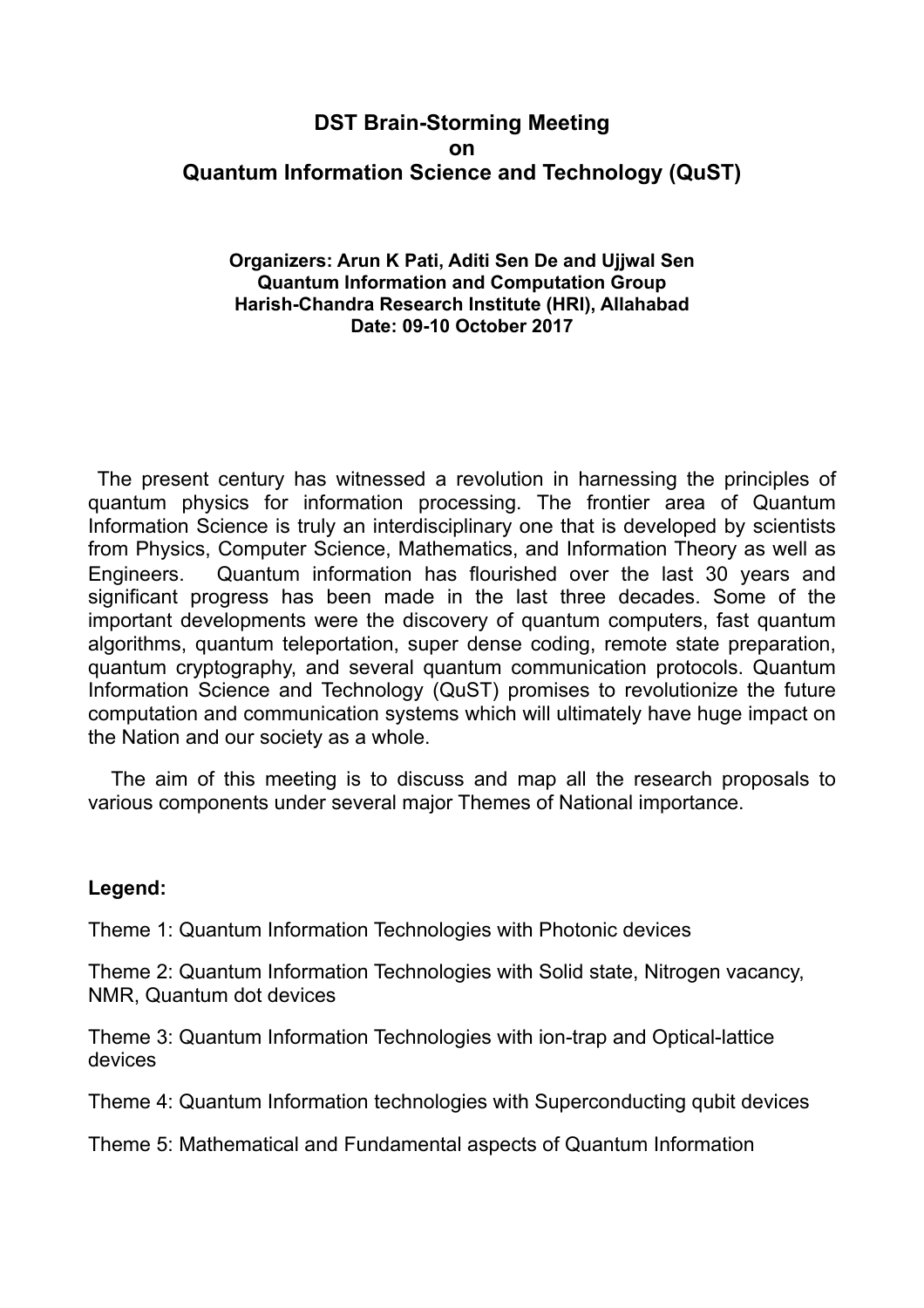# **DST Brain-Storming Meeting on Quantum Information Science and Technology (QuST)**

### **Organizers: Arun K Pati, Aditi Sen De and Ujjwal Sen Quantum Information and Computation Group Harish-Chandra Research Institute (HRI), Allahabad Date: 09-10 October 2017**

 The present century has witnessed a revolution in harnessing the principles of quantum physics for information processing. The frontier area of Quantum Information Science is truly an interdisciplinary one that is developed by scientists from Physics, Computer Science, Mathematics, and Information Theory as well as Engineers. Quantum information has flourished over the last 30 years and significant progress has been made in the last three decades. Some of the important developments were the discovery of quantum computers, fast quantum algorithms, quantum teleportation, super dense coding, remote state preparation, quantum cryptography, and several quantum communication protocols. Quantum Information Science and Technology (QuST) promises to revolutionize the future computation and communication systems which will ultimately have huge impact on the Nation and our society as a whole.

 The aim of this meeting is to discuss and map all the research proposals to various components under several major Themes of National importance.

## **Legend:**

Theme 1: Quantum Information Technologies with Photonic devices

Theme 2: Quantum Information Technologies with Solid state, Nitrogen vacancy, NMR, Quantum dot devices

Theme 3: Quantum Information Technologies with ion-trap and Optical-lattice devices

Theme 4: Quantum Information technologies with Superconducting qubit devices

Theme 5: Mathematical and Fundamental aspects of Quantum Information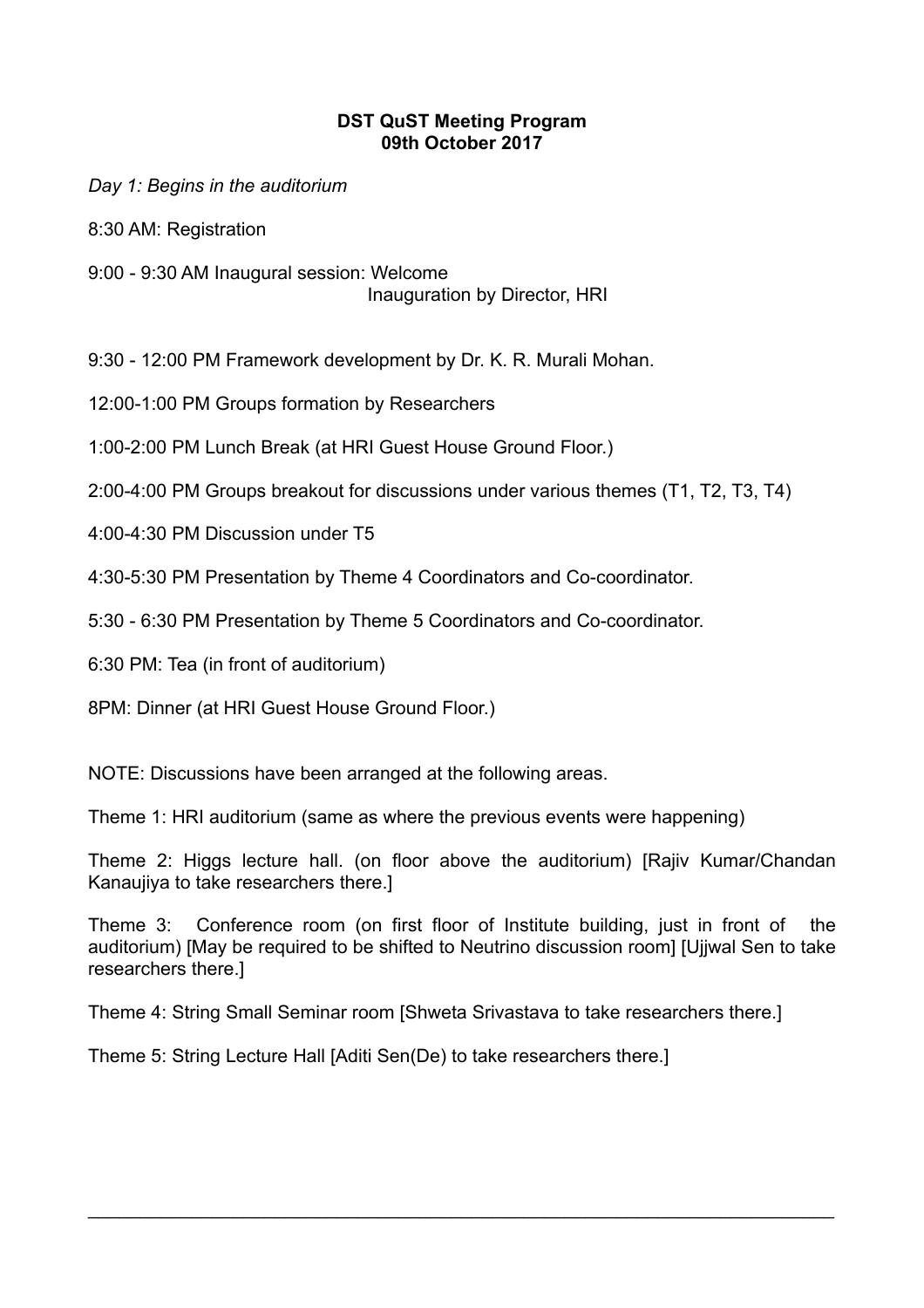## **DST QuST Meeting Program 09th October 2017**

*Day 1: Begins in the auditorium*

8:30 AM: Registration

9:00 - 9:30 AM Inaugural session: Welcome Inauguration by Director, HRI

9:30 - 12:00 PM Framework development by Dr. K. R. Murali Mohan.

12:00-1:00 PM Groups formation by Researchers

1:00-2:00 PM Lunch Break (at HRI Guest House Ground Floor.)

2:00-4:00 PM Groups breakout for discussions under various themes (T1, T2, T3, T4)

4:00-4:30 PM Discussion under T5

4:30-5:30 PM Presentation by Theme 4 Coordinators and Co-coordinator.

5:30 - 6:30 PM Presentation by Theme 5 Coordinators and Co-coordinator.

6:30 PM: Tea (in front of auditorium)

8PM: Dinner (at HRI Guest House Ground Floor.)

NOTE: Discussions have been arranged at the following areas.

Theme 1: HRI auditorium (same as where the previous events were happening)

Theme 2: Higgs lecture hall. (on floor above the auditorium) [Rajiv Kumar/Chandan Kanaujiya to take researchers there.]

Theme 3: Conference room (on first floor of Institute building, just in front of the auditorium) [May be required to be shifted to Neutrino discussion room] [Ujjwal Sen to take researchers there.]

 $\mathcal{L}_\text{max}$  and  $\mathcal{L}_\text{max}$  and  $\mathcal{L}_\text{max}$  and  $\mathcal{L}_\text{max}$  and  $\mathcal{L}_\text{max}$  and  $\mathcal{L}_\text{max}$ 

Theme 4: String Small Seminar room [Shweta Srivastava to take researchers there.]

Theme 5: String Lecture Hall [Aditi Sen(De) to take researchers there.]